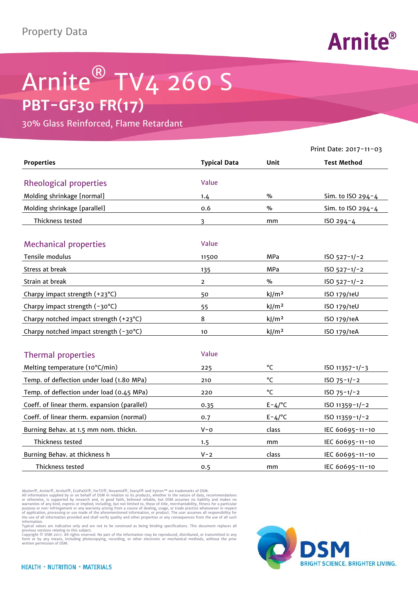## Property Data



## Arnite<sup>®</sup> TV4 260 S **PBT-GF30 FR(17)**

30% Glass Reinforced, Flame Retardant

|                                              |                     |                   | Print Date: 2017-11-03 |
|----------------------------------------------|---------------------|-------------------|------------------------|
| <b>Properties</b>                            | <b>Typical Data</b> | Unit              | <b>Test Method</b>     |
| <b>Rheological properties</b>                | Value               |                   |                        |
| Molding shrinkage [normal]                   | 1.4                 | $\frac{0}{0}$     | Sim. to ISO 294-4      |
| Molding shrinkage [parallel]                 | 0.6                 | %                 | Sim. to ISO 294-4      |
| Thickness tested                             | $\overline{3}$      | mm                | ISO 294-4              |
|                                              |                     |                   |                        |
| <b>Mechanical properties</b>                 | Value               |                   |                        |
| Tensile modulus                              | 11500               | MPa               | $ISO 527-1/-2$         |
| Stress at break                              | 135                 | <b>MPa</b>        | $ISO 527-1/-2$         |
| Strain at break                              | $\overline{2}$      | $\%$              | $ISO 527-1/-2$         |
| Charpy impact strength (+23°C)               | 50                  | kJ/m <sup>2</sup> | ISO 179/1eU            |
| Charpy impact strength (-30°C)               | 55                  | kJ/m <sup>2</sup> | ISO 179/1eU            |
| Charpy notched impact strength (+23°C)       | 8                   | kJ/m <sup>2</sup> | ISO 179/1eA            |
| Charpy notched impact strength (-30°C)       | 10                  | kJ/m <sup>2</sup> | ISO 179/1eA            |
|                                              |                     |                   |                        |
| <b>Thermal properties</b>                    | Value               |                   |                        |
| Melting temperature (10°C/min)               | 225                 | °C                | $ISO 11357 - 1/-3$     |
| Temp. of deflection under load (1.80 MPa)    | 210                 | °C                | $ISO 75-1/-2$          |
| Temp. of deflection under load (0.45 MPa)    | 220                 | °C                | $ISO 75-1/-2$          |
| Coeff. of linear therm. expansion (parallel) | 0.35                | $E - 4/°C$        | ISO 11359-1/-2         |
| Coeff. of linear therm. expansion (normal)   | 0.7                 | $E - 4/°C$        | ISO 11359-1/-2         |
| Burning Behav. at 1.5 mm nom. thickn.        | $V - 0$             | class             | IEC 60695-11-10        |
| Thickness tested                             | 1.5                 | mm                | IEC 60695-11-10        |
| Burning Behav. at thickness h                | $V - 2$             | class             | IEC 60695-11-10        |
| Thickness tested                             | 0.5                 | mm                | IEC 60695-11-10        |

Akulon®, Arnite®, Arnitel®, EcoPaXX®, ForTii®, Novamid®, Stanyl® and Xytron™ are trademarks of DSM.

All information supplied by or on behalf of DSM in relation to its products, whether in the nature of data, recommendations<br>or otherwise, is supported by research and, in good faith, believed reliable, but DSM assumes no l

information.<br>Typical values are indicative only and are not to be construed as being binding specifications. This document replaces all<br>previous versions relating to this subject.<br>Copyright © DSM 2017. All rights reserved.

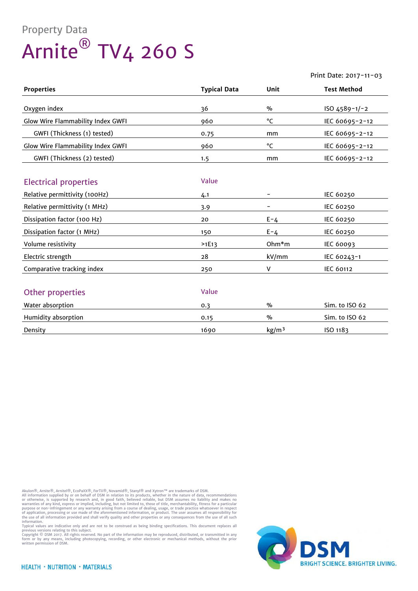## Property Data Arnite® TV4 260 S

## Print Date: 2017-11-03

| <b>Properties</b>                 | <b>Typical Data</b> | Unit              | <b>Test Method</b> |
|-----------------------------------|---------------------|-------------------|--------------------|
| Oxygen index                      | 36                  | $\frac{9}{6}$     | ISO 4589-1/-2      |
| Glow Wire Flammability Index GWFI | 960                 | °C                | IEC 60695-2-12     |
| GWFI (Thickness (1) tested)       | 0.75                | mm                | IEC 60695-2-12     |
| Glow Wire Flammability Index GWFI | 960                 | °C                | IEC 60695-2-12     |
| GWFI (Thickness (2) tested)       | 1.5                 | mm                | IEC 60695-2-12     |
|                                   |                     |                   |                    |
| <b>Electrical properties</b>      | Value               |                   |                    |
| Relative permittivity (100Hz)     | 4.1                 |                   | <b>IEC 60250</b>   |
| Relative permittivity (1 MHz)     | 3.9                 |                   | <b>IEC 60250</b>   |
| Dissipation factor (100 Hz)       | 20                  | $E - 4$           | IEC 60250          |
| Dissipation factor (1 MHz)        | 150                 | $E - 4$           | <b>IEC 60250</b>   |
| Volume resistivity                | >1E13               | Ohm*m             | <b>IEC 60093</b>   |
| Electric strength                 | 28                  | kV/mm             | IEC 60243-1        |
| Comparative tracking index        | 250                 | v                 | <b>IEC 60112</b>   |
|                                   |                     |                   |                    |
| Other properties                  | Value               |                   |                    |
| Water absorption                  | 0.3                 | $\%$              | Sim. to ISO 62     |
| Humidity absorption               | 0.15                | $\%$              | Sim. to ISO 62     |
| Density                           | 1690                | kg/m <sup>3</sup> | ISO 1183           |

Akulon®, Arnite®, Arnitel®, EcoPaXX®, ForTii®, Novamid®, Stanyl® and Xytron™ are trademarks of DSM.<br>All information supplied by or on behalf of DSM in relation to its products, whether in the nature of data, recommendation

information.<br>Typical values are indicative only and are not to be construed as being binding specifications. This document replaces all<br>previous versions relating to this subject.<br>Copyright © DSM 2017. All rights reserved.